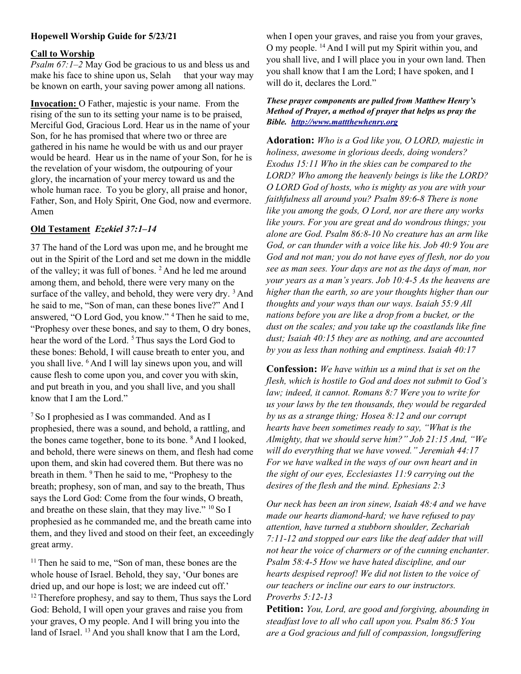# Hopewell Worship Guide for 5/23/21

#### Call to Worship

*Psalm 67:1–2* May God be gracious to us and bless us and make his face to shine upon us, Selah that your way may be known on earth, your saving power among all nations.

Invocation: O Father, majestic is your name. From the rising of the sun to its setting your name is to be praised, Merciful God, Gracious Lord. Hear us in the name of your Son, for he has promised that where two or three are gathered in his name he would be with us and our prayer would be heard. Hear us in the name of your Son, for he is the revelation of your wisdom, the outpouring of your glory, the incarnation of your mercy toward us and the whole human race. To you be glory, all praise and honor, Father, Son, and Holy Spirit, One God, now and evermore. Amen

# Old Testament Ezekiel 37:1–14

37 The hand of the Lord was upon me, and he brought me out in the Spirit of the Lord and set me down in the middle of the valley; it was full of bones. <sup>2</sup> And he led me around among them, and behold, there were very many on the surface of the valley, and behold, they were very dry.  $3$  And he said to me, "Son of man, can these bones live?" And I answered, "O Lord God, you know." <sup>4</sup>Then he said to me, "Prophesy over these bones, and say to them, O dry bones, hear the word of the Lord.<sup>5</sup> Thus says the Lord God to these bones: Behold, I will cause breath to enter you, and you shall live. <sup>6</sup> And I will lay sinews upon you, and will cause flesh to come upon you, and cover you with skin, and put breath in you, and you shall live, and you shall know that I am the Lord."

<sup>7</sup>So I prophesied as I was commanded. And as I prophesied, there was a sound, and behold, a rattling, and the bones came together, bone to its bone. <sup>8</sup> And I looked, and behold, there were sinews on them, and flesh had come upon them, and skin had covered them. But there was no breath in them. <sup>9</sup> Then he said to me, "Prophesy to the breath; prophesy, son of man, and say to the breath, Thus says the Lord God: Come from the four winds, O breath, and breathe on these slain, that they may live."  $^{10}$  So I prophesied as he commanded me, and the breath came into them, and they lived and stood on their feet, an exceedingly great army.

<sup>11</sup> Then he said to me, "Son of man, these bones are the whole house of Israel. Behold, they say, 'Our bones are dried up, and our hope is lost; we are indeed cut off.' <sup>12</sup> Therefore prophesy, and say to them, Thus says the Lord God: Behold, I will open your graves and raise you from your graves, O my people. And I will bring you into the land of Israel. <sup>13</sup> And you shall know that I am the Lord,

when I open your graves, and raise you from your graves, O my people. <sup>14</sup>And I will put my Spirit within you, and you shall live, and I will place you in your own land. Then you shall know that I am the Lord; I have spoken, and I will do it, declares the Lord."

#### These prayer components are pulled from Matthew Henry's Method of Prayer, a method of prayer that helps us pray the Bible. http://www.mattthewhenry.org

Adoration: Who is a God like you, O LORD, majestic in holiness, awesome in glorious deeds, doing wonders? Exodus 15:11 Who in the skies can be compared to the LORD? Who among the heavenly beings is like the LORD? O LORD God of hosts, who is mighty as you are with your faithfulness all around you? Psalm 89:6-8 There is none like you among the gods, O Lord, nor are there any works like yours. For you are great and do wondrous things; you alone are God. Psalm 86:8-10 No creature has an arm like God, or can thunder with a voice like his. Job 40:9 You are God and not man; you do not have eyes of flesh, nor do you see as man sees. Your days are not as the days of man, nor your years as a man's years. Job 10:4-5 As the heavens are higher than the earth, so are your thoughts higher than our thoughts and your ways than our ways. Isaiah 55:9 All nations before you are like a drop from a bucket, or the dust on the scales; and you take up the coastlands like fine dust; Isaiah 40:15 they are as nothing, and are accounted by you as less than nothing and emptiness. Isaiah 40:17

**Confession:** We have within us a mind that is set on the flesh, which is hostile to God and does not submit to God's law; indeed, it cannot. Romans 8:7 Were you to write for us your laws by the ten thousands, they would be regarded by us as a strange thing; Hosea 8:12 and our corrupt hearts have been sometimes ready to say, "What is the Almighty, that we should serve him?" Job 21:15 And, "We will do everything that we have vowed." Jeremiah 44:17 For we have walked in the ways of our own heart and in the sight of our eyes, Ecclesiastes 11:9 carrying out the desires of the flesh and the mind. Ephesians 2:3

Our neck has been an iron sinew, Isaiah 48:4 and we have made our hearts diamond-hard; we have refused to pay attention, have turned a stubborn shoulder, Zechariah 7:11-12 and stopped our ears like the deaf adder that will not hear the voice of charmers or of the cunning enchanter. Psalm 58:4-5 How we have hated discipline, and our hearts despised reproof! We did not listen to the voice of our teachers or incline our ears to our instructors. Proverbs 5:12-13

Petition: You, Lord, are good and forgiving, abounding in steadfast love to all who call upon you. Psalm 86:5 You are a God gracious and full of compassion, longsuffering